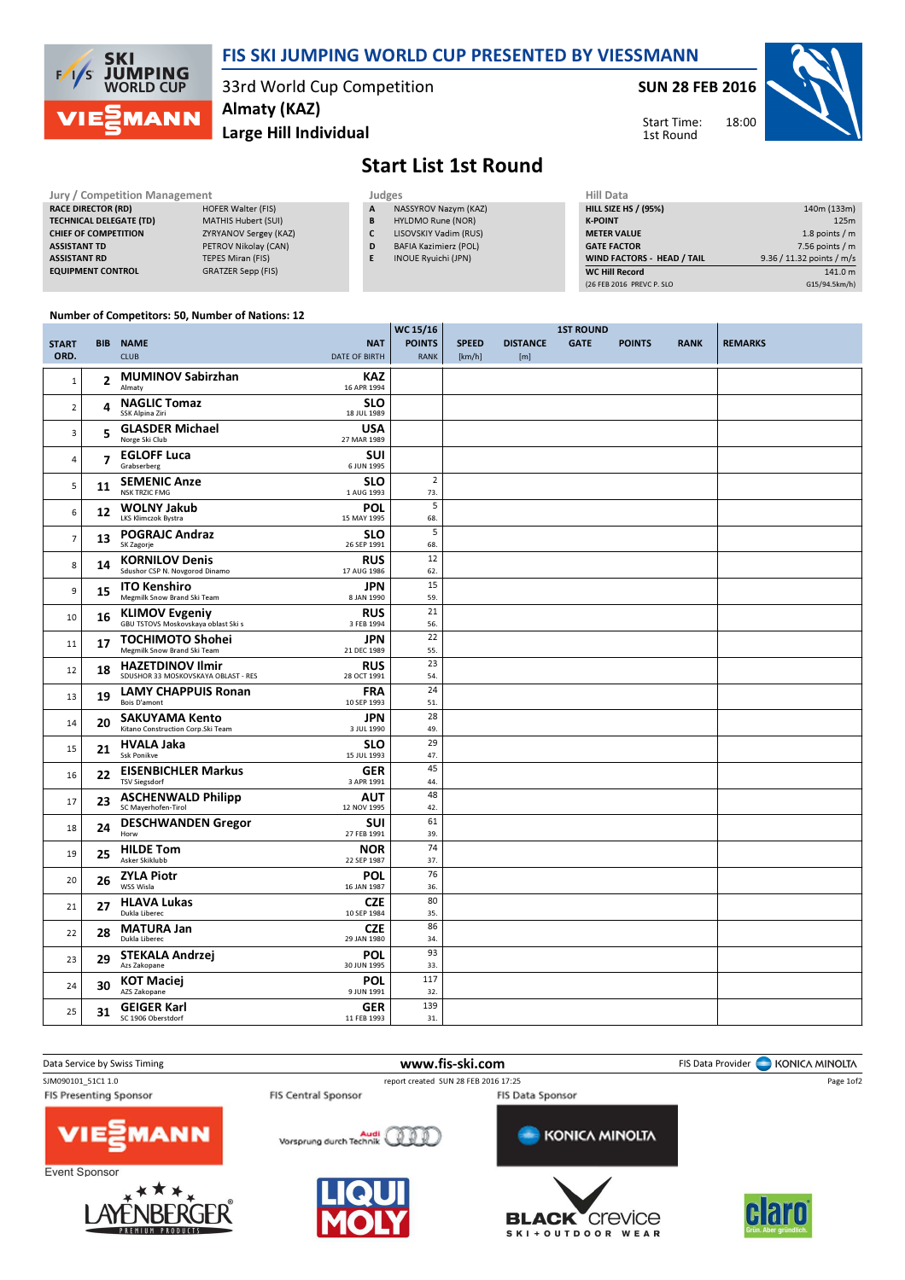

## FIS SKI JUMPING WORLD CUP PRESENTED BY VIESSMANN

33rd World Cup Competition Almaty (KAZ)

Large Hill Individual

SUN 28 FEB 2016



Start Time: 1st Round

## Start List 1st Round

 $WC$  15/16

| <b>Jury / Competition Management</b> |                            |   | <b>Judges</b>                |                    |  |  |
|--------------------------------------|----------------------------|---|------------------------------|--------------------|--|--|
| <b>RACE DIRECTOR (RD)</b>            | <b>HOFER Walter (FIS)</b>  | A | NASSYROV Nazym (KAZ)         | <b>HILL SIZE H</b> |  |  |
| <b>TECHNICAL DELEGATE (TD)</b>       | <b>MATHIS Hubert (SUI)</b> | B | HYLDMO Rune (NOR)            | <b>K-POINT</b>     |  |  |
| <b>CHIEF OF COMPETITION</b>          | ZYRYANOV Sergey (KAZ)      |   | LISOVSKIY Vadim (RUS)        | <b>METER VAI</b>   |  |  |
| <b>ASSISTANT TD</b>                  | PETROV Nikolav (CAN)       | D | <b>BAFIA Kazimierz (POL)</b> | <b>GATE FACT</b>   |  |  |
| <b>ASSISTANT RD</b>                  | <b>TEPES Miran (FIS)</b>   |   | <b>INOUE Ryuichi (JPN)</b>   | <b>WIND FACT</b>   |  |  |
| <b>EQUIPMENT CONTROL</b>             | GRATZER Sepp (FIS)         |   |                              | <b>WC Hill Reg</b> |  |  |

| Hill Data                   |                           |
|-----------------------------|---------------------------|
| <b>HILL SIZE HS / (95%)</b> | 140m (133m)               |
| <b>K-POINT</b>              | 125m                      |
| <b>METER VALUE</b>          | 1.8 points $/m$           |
| <b>GATE FACTOR</b>          | $7.56$ points / m         |
| WIND FACTORS - HEAD / TAIL  | 9.36 / 11.32 points / m/s |
| <b>WC Hill Record</b>       | 141.0 m                   |
| (26 FEB 2016 PREVC P. SLO   | G15/94.5km/h)             |

## Number of Competitors: 50, Number of Nations: 12

|                      |    |                                                                |                                    | WC 15/16                     |                        | <b>1ST ROUND</b>       |             |               |             |                |
|----------------------|----|----------------------------------------------------------------|------------------------------------|------------------------------|------------------------|------------------------|-------------|---------------|-------------|----------------|
| <b>START</b><br>ORD. |    | <b>BIB NAME</b><br><b>CLUB</b>                                 | <b>NAT</b><br><b>DATE OF BIRTH</b> | <b>POINTS</b><br><b>RANK</b> | <b>SPEED</b><br>[km/h] | <b>DISTANCE</b><br>[m] | <b>GATE</b> | <b>POINTS</b> | <b>RANK</b> | <b>REMARKS</b> |
| $1\,$                | 2  | <b>MUMINOV Sabirzhan</b><br>Almaty                             | <b>KAZ</b><br>16 APR 1994          |                              |                        |                        |             |               |             |                |
| $\mathbf 2$          | 4  | <b>NAGLIC Tomaz</b><br>SSK Alpina Ziri                         | <b>SLO</b><br>18 JUL 1989          |                              |                        |                        |             |               |             |                |
| 3                    | 5  | <b>GLASDER Michael</b><br>Norge Ski Club                       | <b>USA</b><br>27 MAR 1989          |                              |                        |                        |             |               |             |                |
| $\overline{4}$       | 7  | <b>EGLOFF Luca</b><br>Grabserberg                              | <b>SUI</b><br>6 JUN 1995           |                              |                        |                        |             |               |             |                |
| 5                    | 11 | <b>SEMENIC Anze</b><br><b>NSK TRZIC FMG</b>                    | <b>SLO</b><br>1 AUG 1993           | $\overline{2}$<br>73.        |                        |                        |             |               |             |                |
| 6                    | 12 | <b>WOLNY Jakub</b><br><b>LKS Klimczok Bystra</b>               | POL<br>15 MAY 1995                 | 5<br>68.                     |                        |                        |             |               |             |                |
| $\overline{7}$       | 13 | <b>POGRAJC Andraz</b><br>SK Zagorje                            | <b>SLO</b><br>26 SEP 1991          | 5<br>68.                     |                        |                        |             |               |             |                |
| 8                    | 14 | <b>KORNILOV Denis</b><br>Sdushor CSP N. Novgorod Dinamo        | <b>RUS</b><br>17 AUG 1986          | 12<br>62.                    |                        |                        |             |               |             |                |
| 9                    | 15 | <b>ITO Kenshiro</b><br>Megmilk Snow Brand Ski Team             | <b>JPN</b><br>8 JAN 1990           | 15<br>59.                    |                        |                        |             |               |             |                |
| 10                   | 16 | <b>KLIMOV Evgeniy</b><br>GBU TSTOVS Moskovskaya oblast Ski s   | <b>RUS</b><br>3 FEB 1994           | 21<br>56.                    |                        |                        |             |               |             |                |
| 11                   | 17 | <b>TOCHIMOTO Shohei</b><br>Megmilk Snow Brand Ski Team         | <b>JPN</b><br>21 DEC 1989          | 22<br>55.                    |                        |                        |             |               |             |                |
| 12                   | 18 | <b>HAZETDINOV Ilmir</b><br>SDUSHOR 33 MOSKOVSKAYA OBLAST - RES | <b>RUS</b><br>28 OCT 1991          | 23<br>54.                    |                        |                        |             |               |             |                |
| 13                   | 19 | <b>LAMY CHAPPUIS Ronan</b><br><b>Bois D'amont</b>              | <b>FRA</b><br>10 SEP 1993          | 24<br>51.                    |                        |                        |             |               |             |                |
| 14                   | 20 | <b>SAKUYAMA Kento</b><br>Kitano Construction Corp.Ski Team     | <b>JPN</b><br>3 JUL 1990           | 28<br>49.                    |                        |                        |             |               |             |                |
| 15                   | 21 | <b>HVALA Jaka</b><br><b>Ssk Ponikve</b>                        | <b>SLO</b><br>15 JUL 1993          | 29<br>47.                    |                        |                        |             |               |             |                |
| 16                   | 22 | <b>EISENBICHLER Markus</b><br><b>TSV Siegsdorf</b>             | <b>GER</b><br>3 APR 1991           | 45<br>44.                    |                        |                        |             |               |             |                |
| 17                   | 23 | <b>ASCHENWALD Philipp</b><br>SC Mayerhofen-Tirol               | <b>AUT</b><br>12 NOV 1995          | 48<br>42.                    |                        |                        |             |               |             |                |
| 18                   | 24 | <b>DESCHWANDEN Gregor</b><br>Horw                              | SUI<br>27 FEB 1991                 | 61<br>39.                    |                        |                        |             |               |             |                |
| 19                   | 25 | <b>HILDE Tom</b><br>Asker Skiklubb                             | <b>NOR</b><br>22 SEP 1987          | 74<br>37.                    |                        |                        |             |               |             |                |
| 20                   | 26 | <b>ZYLA Piotr</b><br>WSS Wisla                                 | <b>POL</b><br>16 JAN 1987          | 76<br>36.                    |                        |                        |             |               |             |                |
| 21                   | 27 | <b>HLAVA Lukas</b><br>Dukla Liberec                            | <b>CZE</b><br>10 SEP 1984          | 80<br>35.                    |                        |                        |             |               |             |                |
| 22                   | 28 | <b>MATURA Jan</b><br>Dukla Liberec                             | <b>CZE</b><br>29 JAN 1980          | 86<br>34.                    |                        |                        |             |               |             |                |
| 23                   | 29 | STEKALA Andrzej<br>Azs Zakopane                                | POL<br>30 JUN 1995                 | 93<br>33.                    |                        |                        |             |               |             |                |
| 24                   | 30 | <b>KOT Maciej</b><br>AZS Zakopane                              | <b>POL</b><br>9 JUN 1991           | 117<br>32.                   |                        |                        |             |               |             |                |
| 25                   | 31 | <b>GEIGER Karl</b><br>SC 1906 Oberstdorf                       | <b>GER</b><br>11 FEB 1993          | 139<br>31.                   |                        |                        |             |               |             |                |